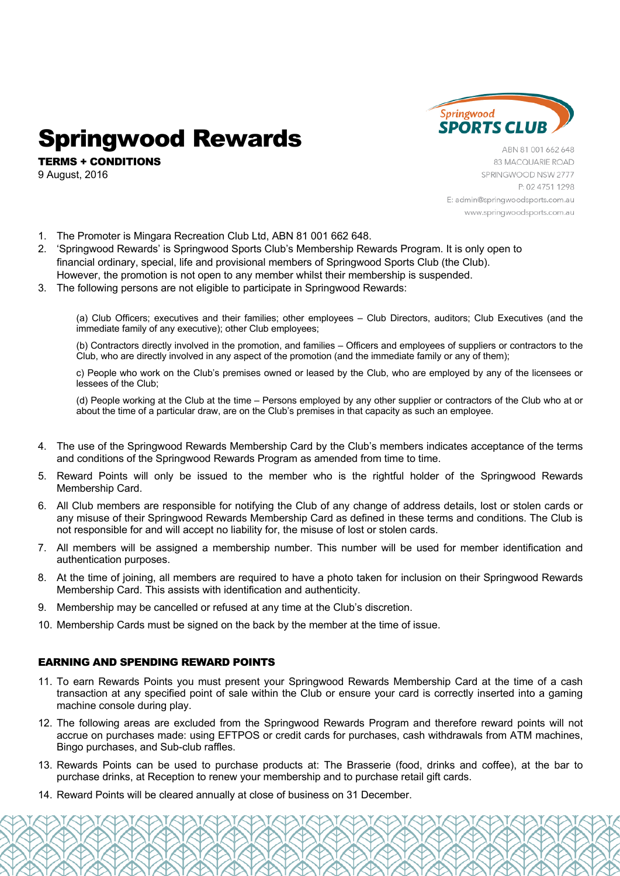

# Springwood Rewards

TERMS + CONDITIONS 9 August, 2016

ABN 81 001 662 648 83 MACQUARIE ROAD SPRINGWOOD NSW 2777 P: 02 4751 1298 E: admin@springwoodsports.com.au www.springwoodsports.com.au

- 1. The Promoter is Mingara Recreation Club Ltd, ABN 81 001 662 648.
- 2. 'Springwood Rewards' is Springwood Sports Club's Membership Rewards Program. It is only open to financial ordinary, special, life and provisional members of Springwood Sports Club (the Club). However, the promotion is not open to any member whilst their membership is suspended.
- 3. The following persons are not eligible to participate in Springwood Rewards:

(a) Club Officers; executives and their families; other employees – Club Directors, auditors; Club Executives (and the immediate family of any executive); other Club employees;

(b) Contractors directly involved in the promotion, and families – Officers and employees of suppliers or contractors to the Club, who are directly involved in any aspect of the promotion (and the immediate family or any of them);

c) People who work on the Club's premises owned or leased by the Club, who are employed by any of the licensees or lessees of the Club;

(d) People working at the Club at the time – Persons employed by any other supplier or contractors of the Club who at or about the time of a particular draw, are on the Club's premises in that capacity as such an employee.

- 4. The use of the Springwood Rewards Membership Card by the Club's members indicates acceptance of the terms and conditions of the Springwood Rewards Program as amended from time to time.
- 5. Reward Points will only be issued to the member who is the rightful holder of the Springwood Rewards Membership Card.
- 6. All Club members are responsible for notifying the Club of any change of address details, lost or stolen cards or any misuse of their Springwood Rewards Membership Card as defined in these terms and conditions. The Club is not responsible for and will accept no liability for, the misuse of lost or stolen cards.
- 7. All members will be assigned a membership number. This number will be used for member identification and authentication purposes.
- 8. At the time of joining, all members are required to have a photo taken for inclusion on their Springwood Rewards Membership Card. This assists with identification and authenticity.
- 9. Membership may be cancelled or refused at any time at the Club's discretion.
- 10. Membership Cards must be signed on the back by the member at the time of issue.

## EARNING AND SPENDING REWARD POINTS

- 11. To earn Rewards Points you must present your Springwood Rewards Membership Card at the time of a cash transaction at any specified point of sale within the Club or ensure your card is correctly inserted into a gaming machine console during play.
- 12. The following areas are excluded from the Springwood Rewards Program and therefore reward points will not accrue on purchases made: using EFTPOS or credit cards for purchases, cash withdrawals from ATM machines, Bingo purchases, and Sub-club raffles.
- 13. Rewards Points can be used to purchase products at: The Brasserie (food, drinks and coffee), at the bar to purchase drinks, at Reception to renew your membership and to purchase retail gift cards.
- 14. Reward Points will be cleared annually at close of business on 31 December.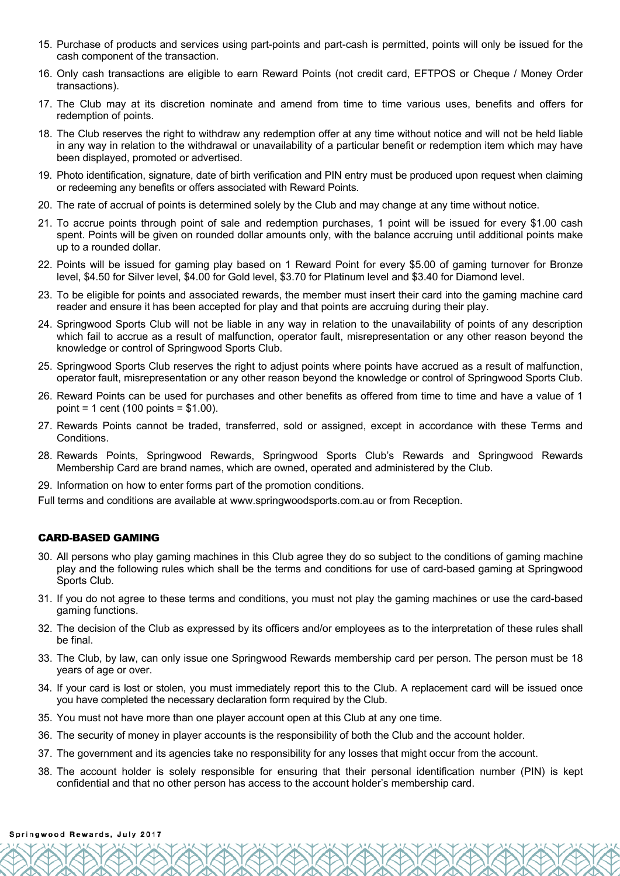- 15. Purchase of products and services using part-points and part-cash is permitted, points will only be issued for the cash component of the transaction.
- 16. Only cash transactions are eligible to earn Reward Points (not credit card, EFTPOS or Cheque / Money Order transactions).
- 17. The Club may at its discretion nominate and amend from time to time various uses, benefits and offers for redemption of points.
- 18. The Club reserves the right to withdraw any redemption offer at any time without notice and will not be held liable in any way in relation to the withdrawal or unavailability of a particular benefit or redemption item which may have been displayed, promoted or advertised.
- 19. Photo identification, signature, date of birth verification and PIN entry must be produced upon request when claiming or redeeming any benefits or offers associated with Reward Points.
- 20. The rate of accrual of points is determined solely by the Club and may change at any time without notice.
- 21. To accrue points through point of sale and redemption purchases, 1 point will be issued for every \$1.00 cash spent. Points will be given on rounded dollar amounts only, with the balance accruing until additional points make up to a rounded dollar.
- 22. Points will be issued for gaming play based on 1 Reward Point for every \$5.00 of gaming turnover for Bronze level, \$4.50 for Silver level, \$4.00 for Gold level, \$3.70 for Platinum level and \$3.40 for Diamond level.
- 23. To be eligible for points and associated rewards, the member must insert their card into the gaming machine card reader and ensure it has been accepted for play and that points are accruing during their play.
- 24. Springwood Sports Club will not be liable in any way in relation to the unavailability of points of any description which fail to accrue as a result of malfunction, operator fault, misrepresentation or any other reason beyond the knowledge or control of Springwood Sports Club.
- 25. Springwood Sports Club reserves the right to adjust points where points have accrued as a result of malfunction, operator fault, misrepresentation or any other reason beyond the knowledge or control of Springwood Sports Club.
- 26. Reward Points can be used for purchases and other benefits as offered from time to time and have a value of 1 point = 1 cent (100 points = \$1.00).
- 27. Rewards Points cannot be traded, transferred, sold or assigned, except in accordance with these Terms and Conditions.
- 28. Rewards Points, Springwood Rewards, Springwood Sports Club's Rewards and Springwood Rewards Membership Card are brand names, which are owned, operated and administered by the Club.
- 29. Information on how to enter forms part of the promotion conditions.
- Full terms and conditions are available at www.springwoodsports.com.au or from Reception.

## CARD-BASED GAMING

- 30. All persons who play gaming machines in this Club agree they do so subject to the conditions of gaming machine play and the following rules which shall be the terms and conditions for use of card-based gaming at Springwood Sports Club.
- 31. If you do not agree to these terms and conditions, you must not play the gaming machines or use the card-based gaming functions.
- 32. The decision of the Club as expressed by its officers and/or employees as to the interpretation of these rules shall be final.
- 33. The Club, by law, can only issue one Springwood Rewards membership card per person. The person must be 18 years of age or over.
- 34. If your card is lost or stolen, you must immediately report this to the Club. A replacement card will be issued once you have completed the necessary declaration form required by the Club.
- 35. You must not have more than one player account open at this Club at any one time.
- 36. The security of money in player accounts is the responsibility of both the Club and the account holder.
- 37. The government and its agencies take no responsibility for any losses that might occur from the account.
- 38. The account holder is solely responsible for ensuring that their personal identification number (PIN) is kept confidential and that no other person has access to the account holder's membership card.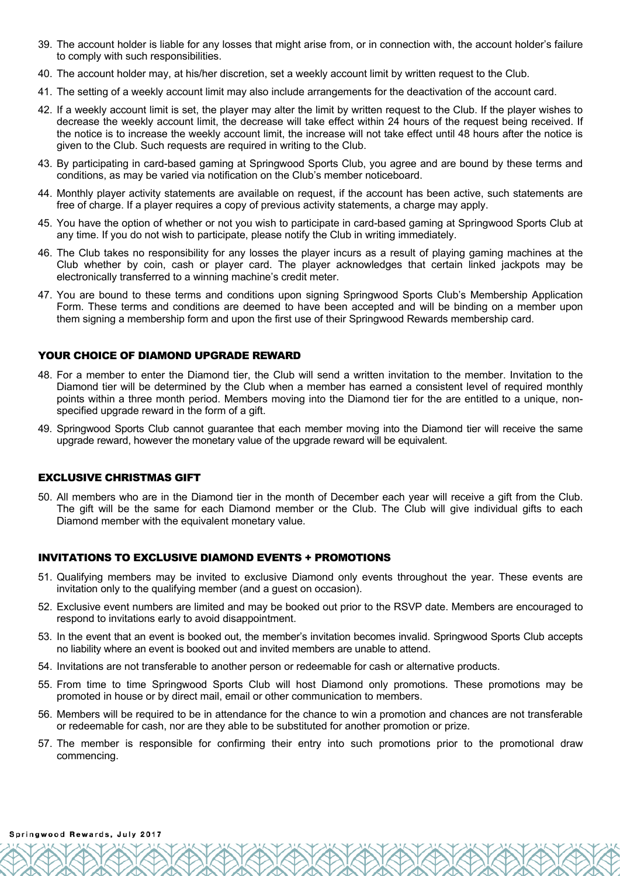- 39. The account holder is liable for any losses that might arise from, or in connection with, the account holder's failure to comply with such responsibilities.
- 40. The account holder may, at his/her discretion, set a weekly account limit by written request to the Club.
- 41. The setting of a weekly account limit may also include arrangements for the deactivation of the account card.
- 42. If a weekly account limit is set, the player may alter the limit by written request to the Club. If the player wishes to decrease the weekly account limit, the decrease will take effect within 24 hours of the request being received. If the notice is to increase the weekly account limit, the increase will not take effect until 48 hours after the notice is given to the Club. Such requests are required in writing to the Club.
- 43. By participating in card-based gaming at Springwood Sports Club, you agree and are bound by these terms and conditions, as may be varied via notification on the Club's member noticeboard.
- 44. Monthly player activity statements are available on request, if the account has been active, such statements are free of charge. If a player requires a copy of previous activity statements, a charge may apply.
- 45. You have the option of whether or not you wish to participate in card-based gaming at Springwood Sports Club at any time. If you do not wish to participate, please notify the Club in writing immediately.
- 46. The Club takes no responsibility for any losses the player incurs as a result of playing gaming machines at the Club whether by coin, cash or player card. The player acknowledges that certain linked jackpots may be electronically transferred to a winning machine's credit meter.
- 47. You are bound to these terms and conditions upon signing Springwood Sports Club's Membership Application Form. These terms and conditions are deemed to have been accepted and will be binding on a member upon them signing a membership form and upon the first use of their Springwood Rewards membership card.

## YOUR CHOICE OF DIAMOND UPGRADE REWARD

- 48. For a member to enter the Diamond tier, the Club will send a written invitation to the member. Invitation to the Diamond tier will be determined by the Club when a member has earned a consistent level of required monthly points within a three month period. Members moving into the Diamond tier for the are entitled to a unique, nonspecified upgrade reward in the form of a gift.
- 49. Springwood Sports Club cannot guarantee that each member moving into the Diamond tier will receive the same upgrade reward, however the monetary value of the upgrade reward will be equivalent.

## EXCLUSIVE CHRISTMAS GIFT

50. All members who are in the Diamond tier in the month of December each year will receive a gift from the Club. The gift will be the same for each Diamond member or the Club. The Club will give individual gifts to each Diamond member with the equivalent monetary value.

#### INVITATIONS TO EXCLUSIVE DIAMOND EVENTS + PROMOTIONS

- 51. Qualifying members may be invited to exclusive Diamond only events throughout the year. These events are invitation only to the qualifying member (and a guest on occasion).
- 52. Exclusive event numbers are limited and may be booked out prior to the RSVP date. Members are encouraged to respond to invitations early to avoid disappointment.
- 53. In the event that an event is booked out, the member's invitation becomes invalid. Springwood Sports Club accepts no liability where an event is booked out and invited members are unable to attend.
- 54. Invitations are not transferable to another person or redeemable for cash or alternative products.
- 55. From time to time Springwood Sports Club will host Diamond only promotions. These promotions may be promoted in house or by direct mail, email or other communication to members.
- 56. Members will be required to be in attendance for the chance to win a promotion and chances are not transferable or redeemable for cash, nor are they able to be substituted for another promotion or prize.
- 57. The member is responsible for confirming their entry into such promotions prior to the promotional draw commencing.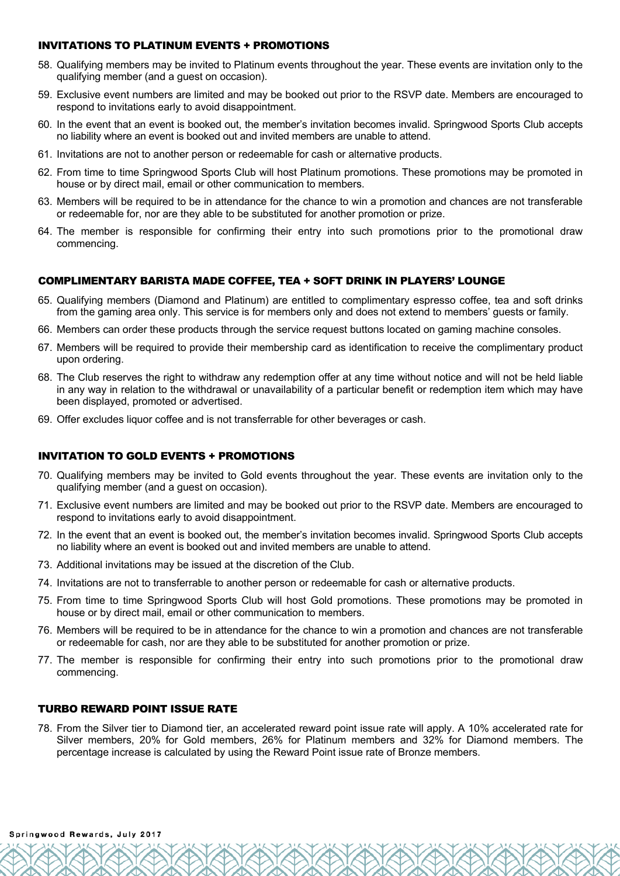## INVITATIONS TO PLATINUM EVENTS + PROMOTIONS

- 58. Qualifying members may be invited to Platinum events throughout the year. These events are invitation only to the qualifying member (and a guest on occasion).
- 59. Exclusive event numbers are limited and may be booked out prior to the RSVP date. Members are encouraged to respond to invitations early to avoid disappointment.
- 60. In the event that an event is booked out, the member's invitation becomes invalid. Springwood Sports Club accepts no liability where an event is booked out and invited members are unable to attend.
- 61. Invitations are not to another person or redeemable for cash or alternative products.
- 62. From time to time Springwood Sports Club will host Platinum promotions. These promotions may be promoted in house or by direct mail, email or other communication to members.
- 63. Members will be required to be in attendance for the chance to win a promotion and chances are not transferable or redeemable for, nor are they able to be substituted for another promotion or prize.
- 64. The member is responsible for confirming their entry into such promotions prior to the promotional draw commencing.

## COMPLIMENTARY BARISTA MADE COFFEE, TEA + SOFT DRINK IN PLAYERS' LOUNGE

- 65. Qualifying members (Diamond and Platinum) are entitled to complimentary espresso coffee, tea and soft drinks from the gaming area only. This service is for members only and does not extend to members' guests or family.
- 66. Members can order these products through the service request buttons located on gaming machine consoles.
- 67. Members will be required to provide their membership card as identification to receive the complimentary product upon ordering.
- 68. The Club reserves the right to withdraw any redemption offer at any time without notice and will not be held liable in any way in relation to the withdrawal or unavailability of a particular benefit or redemption item which may have been displayed, promoted or advertised.
- 69. Offer excludes liquor coffee and is not transferrable for other beverages or cash.

## INVITATION TO GOLD EVENTS + PROMOTIONS

- 70. Qualifying members may be invited to Gold events throughout the year. These events are invitation only to the qualifying member (and a guest on occasion).
- 71. Exclusive event numbers are limited and may be booked out prior to the RSVP date. Members are encouraged to respond to invitations early to avoid disappointment.
- 72. In the event that an event is booked out, the member's invitation becomes invalid. Springwood Sports Club accepts no liability where an event is booked out and invited members are unable to attend.
- 73. Additional invitations may be issued at the discretion of the Club.
- 74. Invitations are not to transferrable to another person or redeemable for cash or alternative products.
- 75. From time to time Springwood Sports Club will host Gold promotions. These promotions may be promoted in house or by direct mail, email or other communication to members.
- 76. Members will be required to be in attendance for the chance to win a promotion and chances are not transferable or redeemable for cash, nor are they able to be substituted for another promotion or prize.
- 77. The member is responsible for confirming their entry into such promotions prior to the promotional draw commencing.

## TURBO REWARD POINT ISSUE RATE

78. From the Silver tier to Diamond tier, an accelerated reward point issue rate will apply. A 10% accelerated rate for Silver members, 20% for Gold members, 26% for Platinum members and 32% for Diamond members. The percentage increase is calculated by using the Reward Point issue rate of Bronze members.